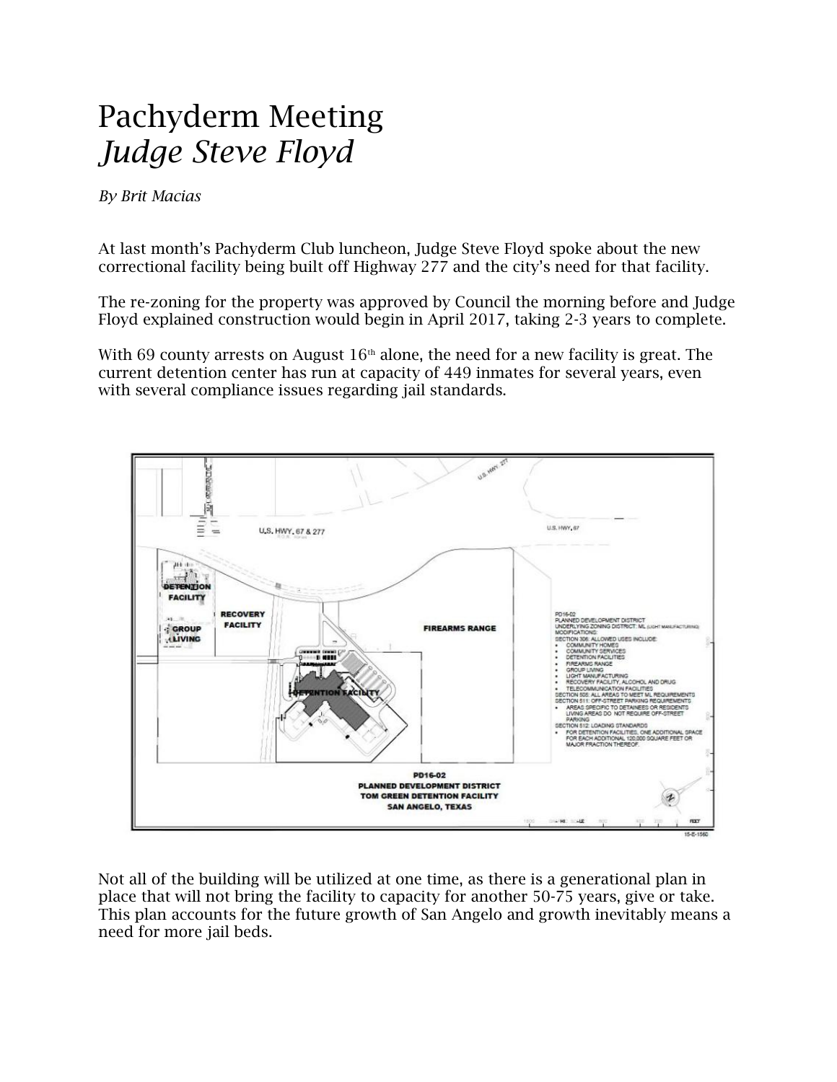## Pachyderm Meeting *Judge Steve Floyd*

*By Brit Macias*

At last month's Pachyderm Club luncheon, Judge Steve Floyd spoke about the new correctional facility being built off Highway 277 and the city's need for that facility.

The re-zoning for the property was approved by Council the morning before and Judge Floyd explained construction would begin in April 2017, taking 2-3 years to complete.

With 69 county arrests on August  $16<sup>th</sup>$  alone, the need for a new facility is great. The current detention center has run at capacity of 449 inmates for several years, even with several compliance issues regarding jail standards.



Not all of the building will be utilized at one time, as there is a generational plan in place that will not bring the facility to capacity for another 50-75 years, give or take. This plan accounts for the future growth of San Angelo and growth inevitably means a need for more jail beds.